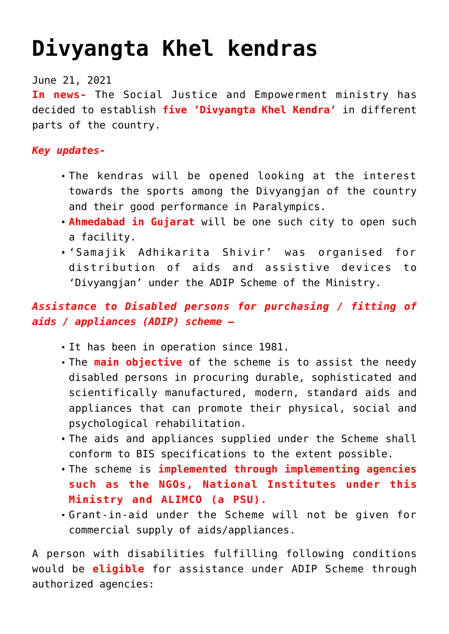## **[Divyangta Khel kendras](https://journalsofindia.com/divyangta-khel-kendras/)**

June 21, 2021

**In news-** The Social Justice and Empowerment ministry has decided to establish **five 'Divyangta Khel Kendra'** in different parts of the country.

## *Key updates-*

- The kendras will be opened looking at the interest towards the sports among the Divyangjan of the country and their good performance in Paralympics.
- **Ahmedabad in Gujarat** will be one such city to open such a facility.
- 'Samajik Adhikarita Shivir' was organised for distribution of aids and assistive devices to 'Divyangjan' under the ADIP Scheme of the Ministry.

## *Assistance to Disabled persons for purchasing / fitting of aids / appliances (ADIP) scheme –*

- It has been in operation since 1981.
- The **main objective** of the scheme is to assist the needy disabled persons in procuring durable, sophisticated and scientifically manufactured, modern, standard aids and appliances that can promote their physical, social and psychological rehabilitation.
- The aids and appliances supplied under the Scheme shall conform to BIS specifications to the extent possible.
- The scheme is **implemented through implementing agencies such as the NGOs, National Institutes under this Ministry and ALIMCO (a PSU).**
- Grant-in-aid under the Scheme will not be given for commercial supply of aids/appliances.

A person with disabilities fulfilling following conditions would be **eligible** for assistance under ADIP Scheme through authorized agencies: